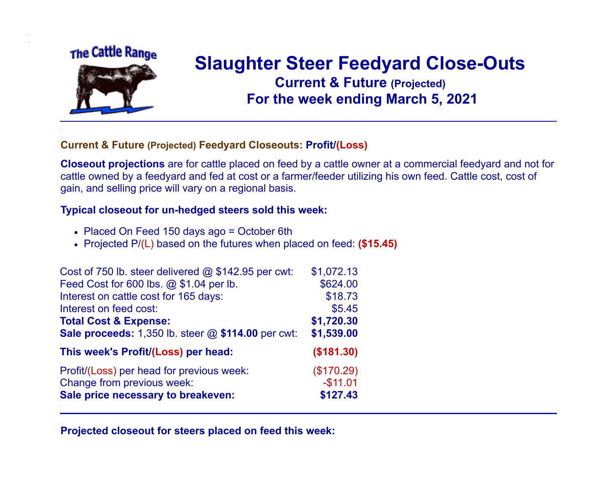## The Cattle Range

.. ..

.

.

.

.

.



## **Slaughter Steer Feedyard Close-Outs Current & Future (Projected)** .**For the week ending March 5, 2021**

## . **Current & Future (Projected) Feedyard Closeouts: Profit/(Loss)**

**Closeout projections** are for cattle placed on feed by a cattle owner at a commercial feedyard and not for cattle owned by a feedyard and fed at cost or a farmer/feeder utilizing his own feed. Cattle cost, cost of gain, and selling price will vary on a regional basis.

## **Typical closeout for un-hedged steers sold this week:**

- Placed On Feed 150 days ago = October 6th
- Projected P/(L) based on the futures when placed on feed: **(\$15.45)**

| Cost of 750 lb. steer delivered $@$ \$142.95 per cwt:       | \$1,072.13 |
|-------------------------------------------------------------|------------|
| Feed Cost for 600 lbs. @ \$1.04 per lb.                     | \$624.00   |
| Interest on cattle cost for 165 days:                       | \$18.73    |
| Interest on feed cost:                                      | \$5.45     |
| <b>Total Cost &amp; Expense:</b>                            | \$1,720.30 |
| <b>Sale proceeds:</b> 1,350 lb. steer $@$ \$114.00 per cwt: | \$1,539.00 |
| This week's Profit/(Loss) per head:                         | (\$181.30) |
| Profit/(Loss) per head for previous week:                   | (\$170.29) |
| Change from previous week:                                  | $-$11.01$  |
| Sale price necessary to breakeven:                          | \$127.43   |

**Projected closeout for steers placed on feed this week:**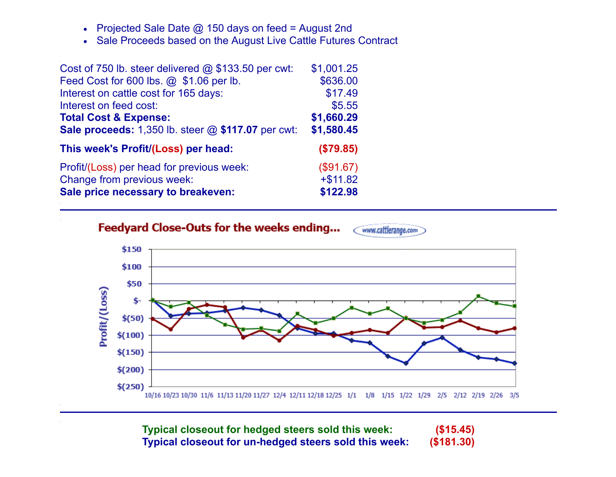- Projected Sale Date @ 150 days on feed = August 2nd  $\bullet$
- Sale Proceeds based on the August Live Cattle Futures Contract

| Cost of 750 lb. steer delivered $@$ \$133.50 per cwt:     | \$1,001.25 |
|-----------------------------------------------------------|------------|
| Feed Cost for 600 lbs. @ \$1.06 per lb.                   | \$636.00   |
| Interest on cattle cost for 165 days:                     | \$17.49    |
| Interest on feed cost:                                    | \$5.55     |
| <b>Total Cost &amp; Expense:</b>                          | \$1,660.29 |
| <b>Sale proceeds:</b> 1,350 lb. steer @ \$117.07 per cwt: | \$1,580.45 |
| This week's Profit/(Loss) per head:                       | (\$79.85)  |
| Profit/(Loss) per head for previous week:                 | (\$91.67)  |
| Change from previous week:                                | $+ $11.82$ |
| Sale price necessary to breakeven:                        | \$122.98   |

.

.

.

.

.

Feedyard Close-Outs for the weeks ending... < www.cattlerange.com



**Typical closeout for hedged steers sold this week: (\$15.45) Typical closeout for un-hedged steers sold this week: (\$181.30)**